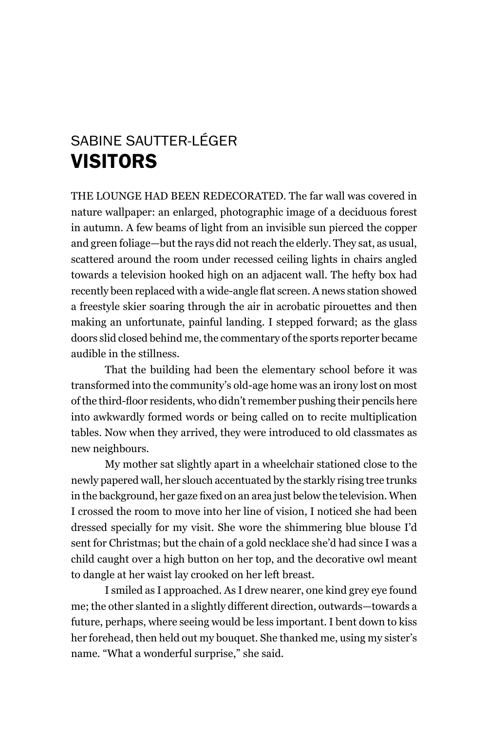## SABinE SAuTTEr-LéGEr **VISITORS**

The lounge hAD Been ReDeCoRATeD. The far wall was covered in nature wallpaper: an enlarged, photographic image of a deciduous forest in autumn. A few beams of light from an invisible sun pierced the copper and green foliage—but the rays did not reach the elderly. They sat, as usual, scattered around the room under recessed ceiling lights in chairs angled towards a television hooked high on an adjacent wall. The hefty box had recently been replaced with a wide-angle flat screen. A news station showed a freestyle skier soaring through the air in acrobatic pirouettes and then making an unfortunate, painful landing. I stepped forward; as the glass doors slid closed behind me, the commentary of the sports reporter became audible in the stillness.

That the building had been the elementary school before it was transformed into the community's old-age home was an irony lost on most of the third-floor residents, who didn't remember pushing their pencils here into awkwardly formed words or being called on to recite multiplication tables. Now when they arrived, they were introduced to old classmates as new neighbours.

my mother sat slightly apart in a wheelchair stationed close to the newly papered wall, her slouch accentuated by the starkly rising tree trunks in the background, her gaze fixed on an area just below the television. When I crossed the room to move into her line of vision, I noticed she had been dressed specially for my visit. She wore the shimmering blue blouse I'd sent for Christmas; but the chain of a gold necklace she'd had since I was a child caught over a high button on her top, and the decorative owl meant to dangle at her waist lay crooked on her left breast.

I smiled as I approached. As I drew nearer, one kind grey eye found me; the other slanted in a slightly different direction, outwards—towards a future, perhaps, where seeing would be less important. I bent down to kiss her forehead, then held out my bouquet. She thanked me, using my sister's name. "What a wonderful surprise," she said.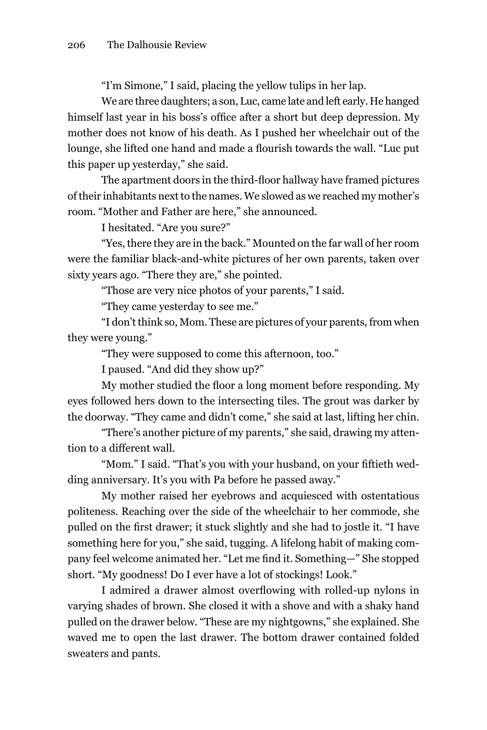"I'm Simone," I said, placing the yellow tulips in her lap.

We are three daughters; a son, Luc, came late and left early. He hanged himself last year in his boss's office after a short but deep depression. My mother does not know of his death. As I pushed her wheelchair out of the lounge, she lifted one hand and made a flourish towards the wall. "Luc put this paper up yesterday," she said.

The apartment doors in the third-floor hallway have framed pictures of their inhabitants next to the names. We slowed as we reached my mother's room. "mother and Father are here," she announced.

I hesitated. "Are you sure?"

"Yes, there they are in the back." mounted on the far wall of her room were the familiar black-and-white pictures of her own parents, taken over sixty years ago. "There they are," she pointed.

"Those are very nice photos of your parents," I said.

"They came yesterday to see me."

"I don't think so, mom. These are pictures of your parents, from when they were young."

"They were supposed to come this afternoon, too."

I paused. "And did they show up?"

My mother studied the floor a long moment before responding. My eyes followed hers down to the intersecting tiles. The grout was darker by the doorway. "They came and didn't come," she said at last, lifting her chin.

"There's another picture of my parents," she said, drawing my attention to a different wall.

"Mom." I said. "That's you with your husband, on your fiftieth wedding anniversary. It's you with Pa before he passed away."

my mother raised her eyebrows and acquiesced with ostentatious politeness. Reaching over the side of the wheelchair to her commode, she pulled on the first drawer; it stuck slightly and she had to jostle it. "I have something here for you," she said, tugging. A lifelong habit of making company feel welcome animated her. "Let me find it. Something—" She stopped short. "My goodness! Do I ever have a lot of stockings! Look."

I admired a drawer almost overflowing with rolled-up nylons in varying shades of brown. She closed it with a shove and with a shaky hand pulled on the drawer below. "These are my nightgowns," she explained. She waved me to open the last drawer. The bottom drawer contained folded sweaters and pants.